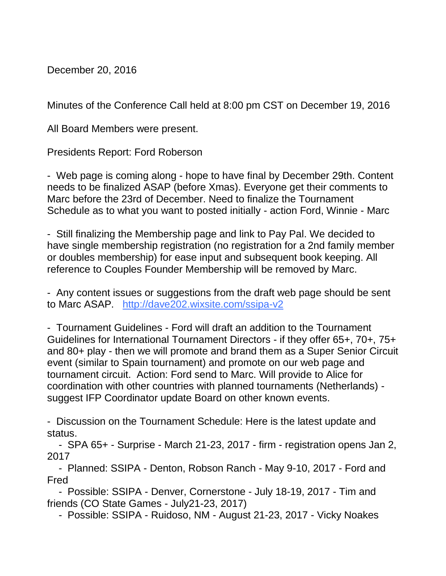December 20, 2016

Minutes of the Conference Call held at 8:00 pm CST on December 19, 2016

All Board Members were present.

Presidents Report: Ford Roberson

- Web page is coming along - hope to have final by December 29th. Content needs to be finalized ASAP (before Xmas). Everyone get their comments to Marc before the 23rd of December. Need to finalize the Tournament Schedule as to what you want to posted initially - action Ford, Winnie - Marc

- Still finalizing the Membership page and link to Pay Pal. We decided to have single membership registration (no registration for a 2nd family member or doubles membership) for ease input and subsequent book keeping. All reference to Couples Founder Membership will be removed by Marc.

- Any content issues or suggestions from the draft web page should be sent to Marc ASAP. <http://dave202.wixsite.com/ssipa-v2>

- Tournament Guidelines - Ford will draft an addition to the Tournament Guidelines for International Tournament Directors - if they offer 65+, 70+, 75+ and 80+ play - then we will promote and brand them as a Super Senior Circuit event (similar to Spain tournament) and promote on our web page and tournament circuit. Action: Ford send to Marc. Will provide to Alice for coordination with other countries with planned tournaments (Netherlands) suggest IFP Coordinator update Board on other known events.

- Discussion on the Tournament Schedule: Here is the latest update and status.

- SPA 65+ - Surprise - March 21-23, 2017 - firm - registration opens Jan 2, 2017

- Planned: SSIPA - Denton, Robson Ranch - May 9-10, 2017 - Ford and Fred

- Possible: SSIPA - Denver, Cornerstone - July 18-19, 2017 - Tim and friends (CO State Games - July21-23, 2017)

- Possible: SSIPA - Ruidoso, NM - August 21-23, 2017 - Vicky Noakes